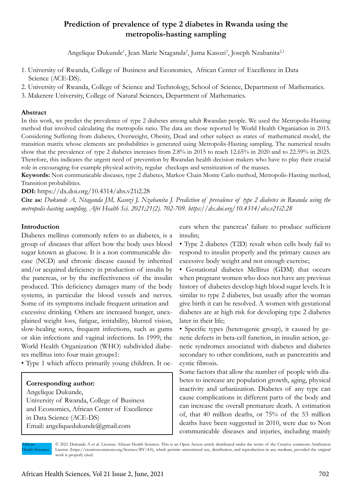# **Prediction of prevalence of type 2 diabetes in Rwanda using the metropolis-hasting sampling**

Angelique Dukunde<sup>1</sup>, Jean Marie Ntaganda<sup>2</sup>, Juma Kasozi<sup>3</sup>, Joseph Nzabanita<sup>2,1</sup>

- 1. University of Rwanda, College of Business and Economics, African Center of Excellence in Data Science (ACE-DS).
- 2. University of Rwanda, College of Science and Technology, School of Science, Department of Mathematics.
- 3. Makerere University, College of Natural Sciences, Department of Mathematics.

# **Abstract**

In this work, we predict the prevalence of type 2 diabetes among adult Rwandan people. We used the Metropolis-Hasting method that involved calculating the metropolis ratio. The data are those reported by World Health Organiation in 2015. Considering Suffering from diabetes, Overweight, Obesity, Dead and other subject as states of mathematical model, the transition matrix whose elements are probabilities is generated using Metropolis-Hasting sampling. The numerical results show that the prevalence of type 2 diabetes increases from 2.8% in 2015 to reach 12.65% in 2020 and to 22.59% in 2025. Therefore, this indicates the urgent need of prevention by Rwandan health decision makers who have to play their crucial role in encouraging for example physical activity, regular checkups and sensitization of the masses.

**Keywords:** Non communicable diseases, type 2 diabetes, Markov Chain Monte Carlo method, Metropolis-Hasting method, Transition probabilities.

#### **DOI:** https://dx.doi.org/10.4314/ahs.v21i2.28

**Cite as:** *Dukunde A, Ntaganda JM, Kasozi J, Nzabanita J. Prediction of prevalence of type 2 diabetes in Rwanda using the metropolis-hasting sampling. Afri Health Sci. 2021;21(2). 702-709. https://dx.doi.org/10.4314/ahs.v21i2.28*

## **Introduction**

Diabetes mellitus commonly refers to as diabetes, is a group of diseases that affect how the body uses blood sugar known as glucose. It is a non communicable disease (NCD) and chronic disease caused by inherited and/or acquired deficiency in production of insulin by the pancreas, or by the ineffectiveness of the insulin produced. This deficiency damages many of the body systems, in particular the blood vessels and nerves. Some of its symptoms include frequent urination and excessive drinking. Others are increased hunger, unexplained weight loss, fatigue, irritability, blurred vision, slow-healing sores, frequent infections, such as gums or skin infections and vaginal infections. In 1999; the World Health Organization (WHO) subdivided diabetes mellitus into four main groups1:

• Type 1 which affects primarily young children. It oc-

## **Corresponding author:**

Angelique Dukunde, University of Rwanda, College of Business and Economics, African Center of Excellence in Data Science (ACE-DS) Email: angeliquedukunde@gmail.com

curs when the pancreas' failure to produce sufficient insulin;

• Type 2 diabetes (T2D) result when cells body fail to respond to insulin properly and the primary causes are excessive body weight and not enough exercise;

• Gestational diabetes Mellitus (GDM) that occurs when pregnant women who does not have any previous history of diabetes develop high blood sugar levels. It is similar to type 2 diabetes, but usually after the woman give birth it can be resolved. A women with gestational diabetes are at high risk for developing type 2 diabetes later in their life;

• Specific types (heterogenic group), it caused by genetic defects in beta-cell function, in insulin action, genetic syndromes associated with diabetes and diabetes secondary to other conditions, such as pancreatitis and cystic fibrosis.

Some factors that allow the number of people with diabetes to increase are population growth, aging, physical inactivity and urbanization. Diabetes of any type can cause complications in different parts of the body and can increase the overall premature death. A estimation of, that 40 million deaths, or 75% of the 53 million deaths have been suggested in 2010, were due to Non communicable diseases and injuries, including mainly

African **Health Sciences** 

© 2021 Dukunde A et al. Licensee African Health Sciences. This is an Open Access article distributed under the terms of the Creative commons Attribution License (https://creativecommons.org/licenses/BY/4.0), which permits unrestricted use, distribution, and reproduction in any medium, provided the original work is properly cited.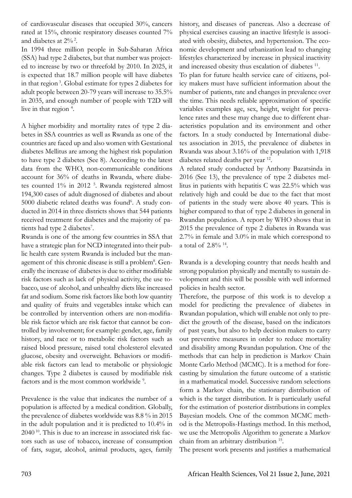of cardiovascular diseases that occupied 30%, cancers rated at 15%, chronic respiratory diseases counted 7% and diabetes at  $2\%$ <sup>2</sup>.

In 1994 three million people in Sub-Saharan Africa (SSA) had type 2 diabetes, but that number was projected to increase by two or threefold by 2010. In 2025, it is expected that 18.7 million people will have diabetes in that region 3. Global estimate for types 2 diabetes for adult people between 20-79 years will increase to 35.5% in 2035, and enough number of people with T2D will live in that region<sup>4</sup>.

A higher morbidity and mortality rates of type 2 diabetes in SSA countries as well as Rwanda as one of the countries are faced up and also women with Gestational diabetes Mellitus are among the highest risk population to have type 2 diabetes (See 8). According to the latest data from the WHO, non-communicable conditions account for 36% of deaths in Rwanda, where diabetes counted 1% in 2012<sup>5</sup>. Rwanda registered almost 194,300 cases of adult diagnosed of diabetes and about 5000 diabetic related deaths was found<sup>6</sup>. A study conducted in 2014 in three districts shows that 544 patients received treatment for diabetes and the majority of patients had type 2 diabetes<sup>7</sup>.

Rwanda is one of the among few countries in SSA that have a strategic plan for NCD integrated into their public health care system Rwanda is included but the management of this chronic disease is still a problem<sup>8</sup>. Generally the increase of diabetes is due to either modifiable risk factors such as lack of physical activity, the use tobacco, use of alcohol, and unhealthy diets like increased fat and sodium. Some risk factors like both low quantity and quality of fruits and vegetables intake which can be controlled by intervention others are non-modifiable risk factor which are risk factor that cannot be controlled by involvement; for example: gender, age, family history, and race or to metabolic risk factors such as raised blood pressure, raised total cholesterol elevated glucose, obesity and overweight. Behaviors or modifiable risk factors can lead to metabolic or physiologic changes. Type 2 diabetes is caused by modifiable risk factors and is the most common worldwide<sup>9</sup>.

Prevalence is the value that indicates the number of a population is affected by a medical condition. Globally, the prevalence of diabetes worldwide was 8.8 % in 2015 in the adult population and it is predicted to 10.4% in 2040 10. This is due to an increase in associated risk factors such as use of tobacco, increase of consumption of fats, sugar, alcohol, animal products, ages, family

history, and diseases of pancreas. Also a decrease of physical exercises causing an inactive lifestyle is associated with obesity, diabetes, and hypertension. The economic development and urbanization lead to changing lifestyles characterized by increase in physical inactivity and increased obesity thus escalation of diabetes <sup>11</sup>.

To plan for future health service care of citizens, policy makers must have sufficient information about the number of patients, rate and changes in prevalence over the time. This needs reliable approximation of specific variables examples age, sex, height, weight for prevalence rates and these may change due to different characteristics population and its environment and other factors. In a study conducted by International diabetes association in 2015, the prevalence of diabetes in Rwanda was about 3.16% of the population with 1,918 diabetes related deaths per year 12.

A related study conducted by Anthony Bazatsinda in 2016 (See 13), the prevalence of type 2 diabetes mellitus in patients with hepatitis C was 22.5% which was relatively high and could be due to the fact that most of patients in the study were above 40 years. This is higher compared to that of type 2 diabetes in general in Rwandan population. A report by WHO shows that in 2015 the prevalence of type 2 diabetes in Rwanda was 2.7% in female and 3.0% in male which correspond to a total of 2.8% 14.

Rwanda is a developing country that needs health and strong population physically and mentally to sustain development and this will be possible with well informed policies in health sector.

Therefore, the purpose of this work is to develop a model for predicting the prevalence of diabetes in Rwandan population, which will enable not only to predict the growth of the disease, based on the indicators of past years, but also to help decision makers to carry out preventive measures in order to reduce mortality and disability among Rwandan population. One of the methods that can help in prediction is Markov Chain Monte Carlo Method (MCMC). It is a method for forecasting by simulation the future outcome of a statistic in a mathematical model. Successive random selections form a Markov chain, the stationary distribution of which is the target distribution. It is particularly useful for the estimation of posterior distributions in complex Bayesian models. One of the common MCMC method is the Metropolis-Hastings method. In this method, we use the Metropolis Algorithm to generate a Markov chain from an arbitrary distribution 15.

The present work presents and justifies a mathematical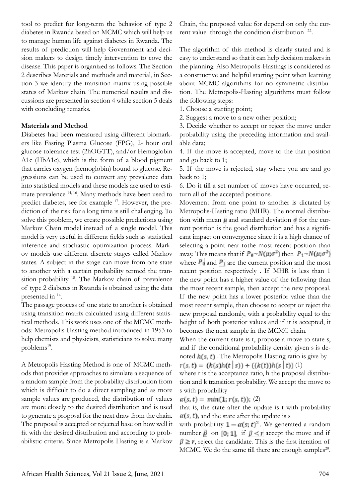tool to predict for long-term the behavior of type 2 diabetes in Rwanda based on MCMC which will help us to manage human life against diabetes in Rwanda. The results of prediction will help Government and decision makers to design timely intervention to cove the disease. This paper is organized as follows. The Section 2 describes Materials and methods and material, in Section 3 we identify the transition matrix using possible states of Markov chain. The numerical results and discussions are presented in section 4 while section 5 deals with concluding remarks.

#### **Materials and Method**

Diabetes had been measured using different biomarkers like Fasting Plasma Glucose (FPG), 2- hour oral glucose tolerance test (2hOGTT), and/or Hemoglobin A1c (HbA1c), which is the form of a blood pigment that carries oxygen (hemoglobin) bound to glucose. Regressions can be used to convert any prevalence data into statistical models and these models are used to estimate prevalence 14, 16. Many methods have been used to predict diabetes, see for example 17. However, the prediction of the risk for a long time is still challenging. To solve this problem, we create possible predictions using Markov Chain model instead of a single model. This model is very useful in different fields such as statistical inference and stochastic optimization process. Markov models use different discrete stages called Markov states. A subject in the stage can move from one state to another with a certain probability termed the transition probability 18. The Markov chain of prevalence of type 2 diabetes in Rwanda is obtained using the data presented in 14.

The passage process of one state to another is obtained using transition matrix calculated using different statistical methods. This work uses one of the MCMC methods: Metropolis-Hasting method introduced in 1953 to help chemists and physicists, statisticians to solve many problems $^{19}$ .

A Metropolis Hasting Method is one of MCMC methods that provides approaches to simulate a sequence of a random sample from the probability distribution from which is difficult to do a direct sampling and as more sample values are produced, the distribution of values are more closely to the desired distribution and is used to generate a proposal for the next draw from the chain. The proposal is accepted or rejected base on how well it fit with the desired distribution and according to probabilistic criteria. Since Metropolis Hasting is a Markov

Chain, the proposed value for depend on only the current value through the condition distribution <sup>22</sup>.

The algorithm of this method is clearly stated and is easy to understand so that it can help decision makers in the planning. Also Metropolis-Hastings is considered as a constructive and helpful starting point when learning about MCMC algorithms for no symmetric distribution. The Metropolis-Hasting algorithms must follow the following steps:

1. Choose a starting point;

2. Suggest a move to a new other position;

3. Decide whether to accept or reject the move under probability using the preceding information and available data;

4. If the move is accepted, move to the that position and go back to 1;

5. If the move is rejected, stay where you are and go back to 1;

6. Do it till a set number of moves have occurred, return all of the accepted positions.

Movement from one point to another is dictated by Metropolis-Hasting ratio (MHR). The normal distribution with mean  $\mu$  and standard deviation  $\sigma$  for the current position is the good distribution and has a significant impact on convergence since it is a high chance of selecting a point near tothe most recent position than away. This means that if  $P_0 \sim N(\mu; \sigma^2)$  then  $P_1 \sim N(\mu; \sigma^2)$ where  $P_0$  and  $P_1$  are the current position and the most recent position respectively . If MHR is less than 1 the new point has a higher value of the following than the most recent sample, then accept the new proposal. If the new point has a lower posterior value than the most recent sample, then choose to accept or reject the new proposal randomly, with a probability equal to the height of both posterior values and if it is accepted, it becomes the next sample in the MCMC chain.

When the current state is t, propose a move to state s, and if the conditional probability density given s is denoted  $h(s, t)$ . The Metropolis Hasting ratio is give by  $r(s, t) = (k(s)h(t | s)) + ((k(t))h(s | t))$  (1)

where r is the acceptance ratio, h the proposal distribution and k transition probability. We accept the move to s with probability

 $\alpha(s, t) = min(1; r(s, t))$ ; (2)

that is, the state after the update is t with probability  $\alpha(s, t)$ , and the state after the update is s

with probability  $1 - \alpha(s, t)^{2}$ . We generated a random number  $\beta$  on [0; 1], if  $\beta < r$  accept the move and if  $\beta \ge r$ , reject the candidate. This is the first iteration of MCMC. We do the same till there are enough samples<sup>20</sup>.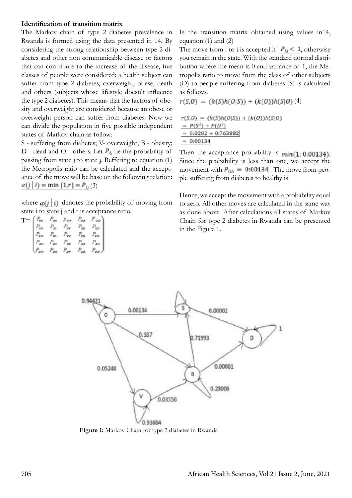## **Identification of transition matrix**

The Markov chain of type 2 diabetes prevalence in Rwanda is formed using the data presented in 14. By considering the strong relationship between type 2 diabetes and other non communicable disease or factors that can contribute to the increase of the disease, five classes of people were considered: a health subject can suffer from type 2 diabetes, overweight, obese, death and others (subjects whose lifestyle doesn't influence the type 2 diabetes). This means that the factors of obesity and overweight are considered because an obese or overweight person can suffer from diabetes. Now we can divide the population in five possible independent states of Markov chain as follow:

S - suffering from diabetes; V- overweight; B - obesity; D - dead and O - others. Let  $P_{ij}$  be the probability of passing from state  $\mathbf i$  to state  $\mathbf i$ . Reffering to equation (1) the Metropolis ratio can be calculated and the acceptance of the move will be base on the following relation:  $\alpha(j \mid i) = \min\{1,r\} = P_{ij}(3)$ 

where  $\alpha(i|i)$  denotes the probability of moving from state i to state j and r is acceptance ratio.

| $T=$ |  |  |  |
|------|--|--|--|
|      |  |  |  |
|      |  |  |  |
|      |  |  |  |
|      |  |  |  |

Is the transition matrix obtained using values in14, equation (1) and (2)

The move from i to j is accepted if  $P_{ij} < 1$ , otherwise you remain in the state. With the standard normal distribution where the mean is 0 and variance of 1, the Metropolis ratio to move from the class of other subjects (O) to people suffering from diabetes (S) is calculated as follows.

$$
r(S,0) = (k(S)h(0|S)) + (k(0))h(S|0) (4)
$$

$$
r(S,0) = (k(S)h(0|S)) + (k(0))h(S|0)
$$
  
=  $P(S^2) + P(0^2)$   
= 0:0282 + 0:763882  
= 0:00134

Then the acceptance probability is  $min(1: 0:00134)$ . Since the probability is less than one, we accept the movement with  $P_{OS} = 0.00134$ . The move from people suffering from diabetes to healthy is

Hence, we accept the movement with a probability equal to zero. All other moves are calculated in the same way as done above. After calculations all states of Markov Chain for type 2 diabetes in Rwanda can be presented in the Figure 1.



Figure 1: Markov Chain for type 2 diabetes in Rwanda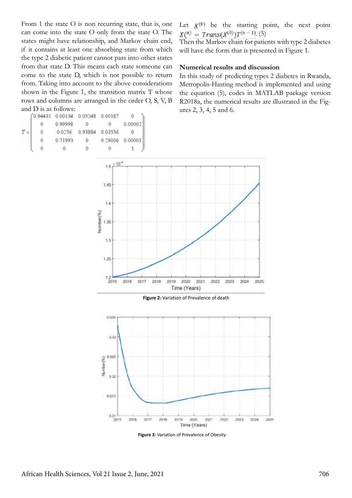From 1 the state O is non recurring state, that is, one can come into the state O only from the state O. The states might have relationship, and Markov chain end, if it contains at least one absorbing state from which the type 2 diabetic patient cannot pass into other states from that state D. This means each state someone can come to the state D, which is not possible to return from. Taking into account to the above considerations shown in the Figure 1, the transition matrix T whose rows and columns are arranged in the order O, S, V, B and D is as follows:

|  | 0.94431 0.00134 0.05248 0.00187 |        |                 |         |
|--|---------------------------------|--------|-----------------|---------|
|  | 0.99998                         |        |                 | 0.00002 |
|  | 0.0256                          | 093884 | 0.03556         |         |
|  | 0.71993                         |        | 0.29006 0.00001 |         |
|  |                                 |        |                 |         |

Let  $\mathbf{x}^{(0)}$  be the starting point, the next point  $X^{(n)} = Trans(X^{(0)})T^{(n-1)}$ . (5)

Then the Markov chain for patients with type 2 diabetes will have the form that is presented in Figure 1.

#### **Numerical results and discussion**

In this study of predicting types 2 diabetes in Rwanda, Metropolis-Hasting method is implemented and using the equation (5), codes in MATLAB package version R2018a, the numerical results are illustrated in the Figures 2, 3, 4, 5 and 6.



**Figure 2:** Variation of Prevalence of death



**Figure 3:** Variation of Prevalence of Obesity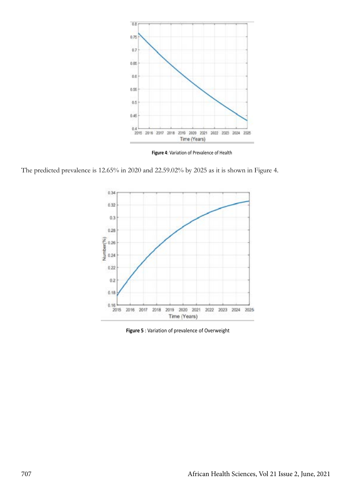

**Figure 4**: Variation of Prevalence of Health

The predicted prevalence is 12.65% in 2020 and 22.59.02% by 2025 as it is shown in Figure 4.



**Figure 5** : Variation of prevalence of Overweight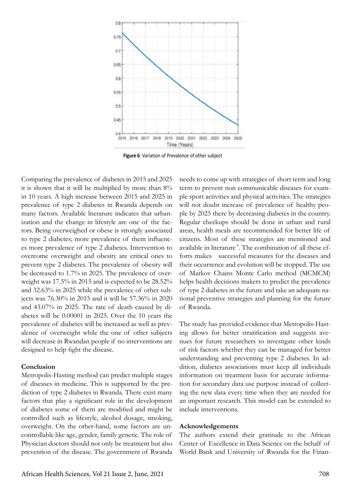

**Figure 6**: Variation of Prevalence of other subject

Comparing the prevalence of diabetes in 2015 and 2025 it is shown that it will be multiplied by more than 8% in 10 years. A high increase between 2015 and 2025 in prevalence of type 2 diabetes in Rwanda depends on many factors. Available literature indicates that urbanization and the change in lifestyle are one of the factors. Being overweighed or obese is strongly associated to type 2 diabetes; more prevalence of them influences more prevalence of type 2 diabetes. Intervention to overcome overweight and obesity are critical ones to prevent type 2 diabetes. The prevalence of obesity will be decreased to 1.7% in 2025. The prevalence of overweight was 17.5% in 2015 and is expected to be 28.52% and 32.63% in 2025 while the prevalence of other subjects was 76.30% in 2015 and it will be 57.36% in 2020 and 43.07% in 2025. The rate of death caused by diabetes will be 0.00001 in 2025. Over the 10 years the prevalence of diabetes will be increased as well as prevalence of overweight while the one of other subjects will decrease in Rwandan people if no interventions are designed to help fight the disease.

#### **Conclusion**

Metropolis-Hasting method can predict multiple stages of diseases in medicine. This is supported by the prediction of type 2 diabetes in Rwanda. There exist many factors that play a significant role in the development of diabetes some of them are modified and might be controlled such as lifestyle, alcohol dosage, smoking, overweight. On the other-hand, some factors are uncontrollable like age, gender, family genetic. The role of Physician doctors should not only be treatment but also prevention of the disease. The government of Rwanda needs to come up with strategies of short term and long term to prevent non communicable diseases for example sport activities and physical activities. The strategies will not doubt increase of prevalence of healthy people by 2025 there by decreasing diabetes in the country. Regular checkups should be done in urban and rural areas, health meals are recommended for better life of citizens. Most of these strategies are mentioned and available in literature<sup>9</sup>. The combination of all these efforts makes successful measures for the diseases and their occurrence and evolution will be stopped. The use of Markov Chains Monte Carlo method (MCMCM) helps health decisions makers to predict the prevalence of type 2 diabetes in the future and take an adequate national preventive strategies and planning for the future of Rwanda.

The study has provided evidence that Metropolis-Hasting allows for better stratification and suggests avenues for future researchers to investigate other kinds of risk factors whether they can be managed for better understanding and preventing type 2 diabetes. In addition, diabetes associations must keep all individuals information on treatment basis for accurate information for secondary data use purpose instead of collecting the new data every time when they are needed for an important research. This model can be extended to include interventions.

#### **Acknowledgements**

The authors extend their gratitude to the African Center of Excellence in Data Science on the behalf of World Bank and University of Rwanda for the Finan